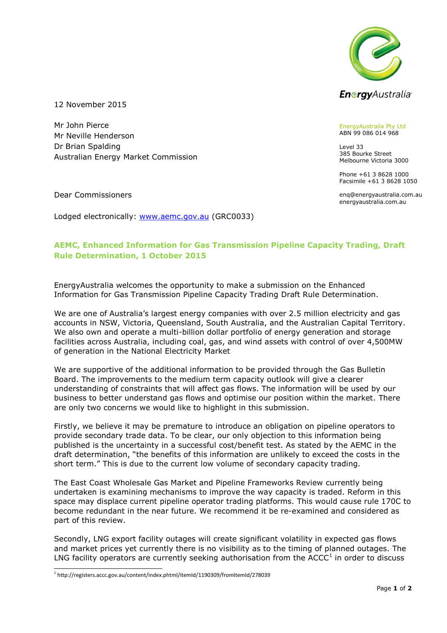

12 November 2015

Mr John Pierce Mr Neville Henderson Dr Brian Spalding Australian Energy Market Commission

ABN 99 086 014 968 Level 33

EnergyAustralia Pty Ltd

385 Bourke Street Melbourne Victoria 3000

Phone +61 3 8628 1000 Facsimile +61 3 8628 1050

enq@energyaustralia.com.au energyaustralia.com.au

Dear Commissioners

Lodged electronically: [www.aemc.gov.au](http://www.aemc.gov.au/) (GRC0033)

## **AEMC, Enhanced Information for Gas Transmission Pipeline Capacity Trading, Draft Rule Determination, 1 October 2015**

EnergyAustralia welcomes the opportunity to make a submission on the Enhanced Information for Gas Transmission Pipeline Capacity Trading Draft Rule Determination.

We are one of Australia's largest energy companies with over 2.5 million electricity and gas accounts in NSW, Victoria, Queensland, South Australia, and the Australian Capital Territory. We also own and operate a multi-billion dollar portfolio of energy generation and storage facilities across Australia, including coal, gas, and wind assets with control of over 4,500MW of generation in the National Electricity Market

We are supportive of the additional information to be provided through the Gas Bulletin Board. The improvements to the medium term capacity outlook will give a clearer understanding of constraints that will affect gas flows. The information will be used by our business to better understand gas flows and optimise our position within the market. There are only two concerns we would like to highlight in this submission.

Firstly, we believe it may be premature to introduce an obligation on pipeline operators to provide secondary trade data. To be clear, our only objection to this information being published is the uncertainty in a successful cost/benefit test. As stated by the AEMC in the draft determination, "the benefits of this information are unlikely to exceed the costs in the short term." This is due to the current low volume of secondary capacity trading.

The East Coast Wholesale Gas Market and Pipeline Frameworks Review currently being undertaken is examining mechanisms to improve the way capacity is traded. Reform in this space may displace current pipeline operator trading platforms. This would cause rule 170C to become redundant in the near future. We recommend it be re-examined and considered as part of this review.

Secondly, LNG export facility outages will create significant volatility in expected gas flows and market prices yet currently there is no visibility as to the timing of planned outages. The LNG facility operators are currently seeking authorisation from the  $ACCC<sup>1</sup>$  in order to discuss

-

<sup>1</sup> http://registers.accc.gov.au/content/index.phtml/itemId/1190309/fromItemId/278039